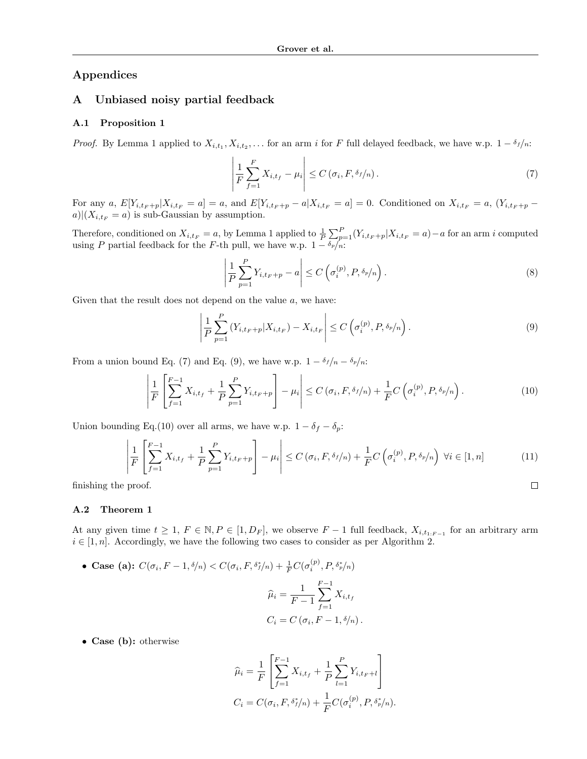# Appendices

# A Unbiased noisy partial feedback

#### A.1 Proposition 1

*Proof.* By Lemma 1 applied to  $X_{i,t_1}, X_{i,t_2}, \ldots$  for an arm i for F full delayed feedback, we have w.p.  $1 - \delta_f/n$ :

$$
\left| \frac{1}{F} \sum_{f=1}^{F} X_{i,t_f} - \mu_i \right| \le C \left( \sigma_i, F, \delta_f / n \right). \tag{7}
$$

For any a,  $E[Y_{i,t_F+p}|X_{i,t_F} = a] = a$ , and  $E[Y_{i,t_F+p} - a|X_{i,t_F} = a] = 0$ . Conditioned on  $X_{i,t_F} = a$ ,  $(Y_{i,t_F+p} - a|X_{i,t_F} = a] = a$  $a)|(X_{i,t_F} = a)$  is sub-Gaussian by assumption.

Therefore, conditioned on  $X_{i,t_F} = a$ , by Lemma 1 applied to  $\frac{1}{P} \sum_{p=1}^{P} (Y_{i,t_F+p} | X_{i,t_F} = a) - a$  for an arm i computed using P partial feedback for the F-th pull, we have w.p.  $1 - \delta_p/n$ :

$$
\left| \frac{1}{P} \sum_{p=1}^{P} Y_{i,t_F+p} - a \right| \le C \left( \sigma_i^{(p)}, P, \delta_p / n \right). \tag{8}
$$

 $\Box$ 

Given that the result does not depend on the value  $a$ , we have:

$$
\left| \frac{1}{P} \sum_{p=1}^{P} \left( Y_{i,t_F + p} | X_{i,t_F} \right) - X_{i,t_F} \right| \le C \left( \sigma_i^{(p)}, P, \delta_p / n \right). \tag{9}
$$

From a union bound Eq. (7) and Eq. (9), we have w.p.  $1 - \delta_f/n - \delta_p/n$ :

$$
\left| \frac{1}{F} \left[ \sum_{f=1}^{F-1} X_{i,t_f} + \frac{1}{P} \sum_{p=1}^{P} Y_{i,t_F+p} \right] - \mu_i \right| \le C \left( \sigma_i, F, \delta_f/n \right) + \frac{1}{F} C \left( \sigma_i^{(p)}, P, \delta_p/n \right). \tag{10}
$$

Union bounding Eq.(10) over all arms, we have w.p.  $1 - \delta_f - \delta_p$ :

$$
\left| \frac{1}{F} \left[ \sum_{f=1}^{F-1} X_{i,t_f} + \frac{1}{P} \sum_{p=1}^{P} Y_{i,t_F + p} \right] - \mu_i \right| \le C \left( \sigma_i, F, \delta_f/n \right) + \frac{1}{F} C \left( \sigma_i^{(p)}, P, \delta_p/n \right) \ \forall i \in [1, n]
$$
\n<sup>(11)</sup>

finishing the proof.

# A.2 Theorem 1

At any given time  $t \geq 1$ ,  $F \in \mathbb{N}$ ,  $P \in [1, D_F]$ , we observe  $F - 1$  full feedback,  $X_{i,t_1;F-1}$  for an arbitrary arm  $i \in [1, n]$ . Accordingly, we have the following two cases to consider as per Algorithm 2.

• Case (a):  $C(\sigma_i, F - 1, \delta/n) < C(\sigma_i, F, \delta_f^*/n) + \frac{1}{F}C(\sigma_i^{(p)}, P, \delta_f^*/n)$ 

$$
\widehat{\mu}_i = \frac{1}{F-1} \sum_{f=1}^{F-1} X_{i,t_f}
$$

$$
C_i = C(\sigma_i, F-1, \delta/n).
$$

• Case (b): otherwise

$$
\widehat{\mu}_i = \frac{1}{F} \left[ \sum_{f=1}^{F-1} X_{i, t_f} + \frac{1}{P} \sum_{l=1}^{P} Y_{i, t_F + l} \right]
$$
  

$$
C_i = C(\sigma_i, F, \delta_f^*/n) + \frac{1}{F} C(\sigma_i^{(p)}, P, \delta_f^*/n).
$$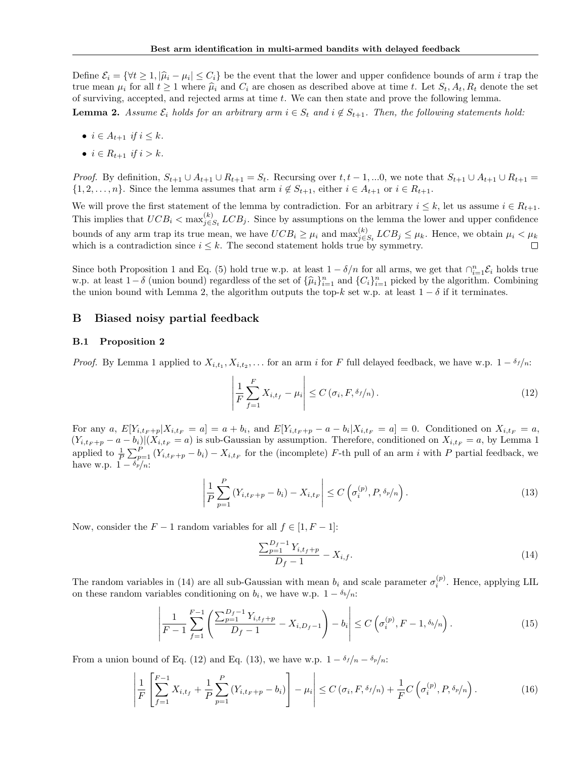Define  $\mathcal{E}_i = \{ \forall t \geq 1, |\hat{\mu}_i - \mu_i| \leq C_i \}$  be the event that the lower and upper confidence bounds of arm i trap the set true mean  $\mu_i$  for all  $t \ge 1$  where  $\hat{\mu}_i$  and  $C_i$  are chosen as described above at time t. Let  $S_t, A_t, R_t$  denote the set of surviving, accepted, and rejected arms at time t. We can then state and prove the following lemma.

**Lemma 2.** Assume  $\mathcal{E}_i$  holds for an arbitrary arm  $i \in S_t$  and  $i \notin S_{t+1}$ . Then, the following statements hold:

- $i \in A_{t+1}$  if  $i \leq k$ .
- $i \in R_{t+1}$  if  $i > k$ .

*Proof.* By definition,  $S_{t+1} \cup A_{t+1} \cup R_{t+1} = S_t$ . Recursing over  $t, t-1, ...0$ , we note that  $S_{t+1} \cup A_{t+1} \cup R_{t+1} = S_t$ .  $\{1, 2, \ldots, n\}$ . Since the lemma assumes that arm  $i \notin S_{t+1}$ , either  $i \in A_{t+1}$  or  $i \in R_{t+1}$ .

We will prove the first statement of the lemma by contradiction. For an arbitrary  $i \leq k$ , let us assume  $i \in R_{t+1}$ . This implies that  $UCB_i < \max_{j \in I}^{(k)}$  $\int_{j\in S_t}^{(k)} LCB_j$ . Since by assumptions on the lemma the lower and upper confidence bounds of any arm trap its true mean, we have  $UCB_i \geq \mu_i$  and  $\max_{j \in \mathcal{I}}^{(k)}$  $\sum_{j \in S_t}^{(\kappa)} LCB_j \leq \mu_k$ . Hence, we obtain  $\mu_i < \mu_k$ which is a contradiction since  $i \leq k$ . The second statement holds true by symmetry.

Since both Proposition 1 and Eq. (5) hold true w.p. at least  $1 - \delta/n$  for all arms, we get that  $\bigcap_{i=1}^{n} \mathcal{E}_i$  holds true w.p. at least  $1 - \delta$  (union bound) regardless of the set of  $\{\hat{\mu}_i\}_{i=1}^n$  and  $\{C_i\}_{i=1}^n$  picked by the algorithm. Combining the union bound with Lomma 2, the electrition outputs the top k set w.p. at least 1. δ the union bound with Lemma 2, the algorithm outputs the top-k set w.p. at least  $1 - \delta$  if it terminates.

### B Biased noisy partial feedback

#### B.1 Proposition 2

*Proof.* By Lemma 1 applied to  $X_{i,t_1}, X_{i,t_2}, \ldots$  for an arm i for F full delayed feedback, we have w.p.  $1 - \delta_f/n$ :

$$
\left| \frac{1}{F} \sum_{f=1}^{F} X_{i,t_f} - \mu_i \right| \le C \left( \sigma_i, F, \delta_f / n \right). \tag{12}
$$

For any a,  $E[Y_{i,t_F+p}|X_{i,t_F} = a] = a + b_i$ , and  $E[Y_{i,t_F+p} - a - b_i|X_{i,t_F} = a] = 0$ . Conditioned on  $X_{i,t_F} = a$ ,  $(Y_{i,t_F+p}-a-b_i)|(X_{i,t_F}=a)$  is sub-Gaussian by assumption. Therefore, conditioned on  $X_{i,t_F}=a$ , by Lemma 1 applied to  $\frac{1}{P}\sum_{p=1}^{P} (Y_{i,t_F+p} - b_i) - X_{i,t_F}$  for the (incomplete) F-th pull of an arm i with P partial feedback, we have w.p.  $1 - \delta_p/n$ :

$$
\left| \frac{1}{P} \sum_{p=1}^{P} \left( Y_{i,t_F + p} - b_i \right) - X_{i,t_F} \right| \leq C \left( \sigma_i^{(p)}, P, \delta_p / n \right). \tag{13}
$$

Now, consider the  $F-1$  random variables for all  $f \in [1, F-1]$ :

$$
\frac{\sum_{p=1}^{D_f-1} Y_{i,t_f+p}}{D_f-1} - X_{i,f}.\tag{14}
$$

The random variables in (14) are all sub-Gaussian with mean  $b_i$  and scale parameter  $\sigma_i^{(p)}$ . Hence, applying LIL on these random variables conditioning on  $b_i$ , we have w.p.  $1 - \delta_b/n$ :

$$
\left| \frac{1}{F-1} \sum_{f=1}^{F-1} \left( \frac{\sum_{p=1}^{D_f-1} Y_{i,t_f+p}}{D_f-1} - X_{i,D_f-1} \right) - b_i \right| \le C \left( \sigma_i^{(p)}, F-1, \delta_b/n \right). \tag{15}
$$

From a union bound of Eq. (12) and Eq. (13), we have w.p.  $1 - \delta_f/n - \delta_p/n$ :

$$
\left| \frac{1}{F} \left[ \sum_{f=1}^{F-1} X_{i,t_f} + \frac{1}{P} \sum_{p=1}^{P} \left( Y_{i,t_F + p} - b_i \right) \right] - \mu_i \right| \le C \left( \sigma_i, F, \delta_f / n \right) + \frac{1}{F} C \left( \sigma_i^{(p)}, P, \delta_p / n \right). \tag{16}
$$